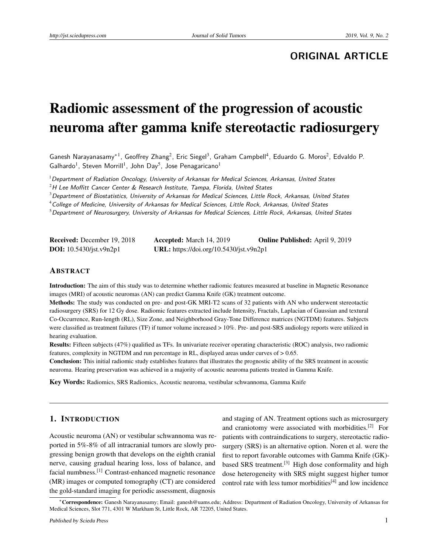# **ORIGINAL ARTICLE**

# Radiomic assessment of the progression of acoustic neuroma after gamma knife stereotactic radiosurgery

Ganesh Narayanasamy<sup>∗1</sup>, Geoffrey Zhang<sup>2</sup>, Eric Siegel<sup>3</sup>, Graham Campbell<sup>4</sup>, Eduardo G. Moros<sup>2</sup>, Edvaldo P. Galhardo<sup>1</sup>, Steven Morrill<sup>1</sup>, John Day<sup>5</sup>, Jose Penagaricano<sup>1</sup>

 $^1$ Department of Radiation Oncology, University of Arkansas for Medical Sciences, Arkansas, United States  $2H$  Lee Moffitt Cancer Center & Research Institute, Tampa, Florida, United States

 $3$  Department of Biostatistics, University of Arkansas for Medical Sciences, Little Rock, Arkansas, United States

<sup>4</sup>College of Medicine, University of Arkansas for Medical Sciences, Little Rock, Arkansas, United States

 $^5$ Department of Neurosurgery, University of Arkansas for Medical Sciences, Little Rock, Arkansas, United States

| <b>Received:</b> December 19, 2018 | <b>Accepted:</b> March 14, 2019         | <b>Online Published:</b> April 9, 2019 |
|------------------------------------|-----------------------------------------|----------------------------------------|
| <b>DOI:</b> $10.5430/jst.v9n2p1$   | URL: https://doi.org/10.5430/jst.v9n2p1 |                                        |

#### ABSTRACT

Introduction: The aim of this study was to determine whether radiomic features measured at baseline in Magnetic Resonance images (MRI) of acoustic neuromas (AN) can predict Gamma Knife (GK) treatment outcome.

Methods: The study was conducted on pre- and post-GK MRI-T2 scans of 32 patients with AN who underwent stereotactic radiosurgery (SRS) for 12 Gy dose. Radiomic features extracted include Intensity, Fractals, Laplacian of Gaussian and textural Co-Occurrence, Run-length (RL), Size Zone, and Neighborhood Gray-Tone Difference matrices (NGTDM) features. Subjects were classified as treatment failures (TF) if tumor volume increased > 10%. Pre- and post-SRS audiology reports were utilized in hearing evaluation.

Results: Fifteen subjects (47%) qualified as TFs. In univariate receiver operating characteristic (ROC) analysis, two radiomic features, complexity in NGTDM and run percentage in RL, displayed areas under curves of > 0.65.

Conclusion: This initial radiomic study establishes features that illustrates the prognostic ability of the SRS treatment in acoustic neuroma. Hearing preservation was achieved in a majority of acoustic neuroma patients treated in Gamma Knife.

Key Words: Radiomics, SRS Radiomics, Acoustic neuroma, vestibular schwannoma, Gamma Knife

# 1. INTRODUCTION

Acoustic neuroma (AN) or vestibular schwannoma was reported in 5%-8% of all intracranial tumors are slowly progressing benign growth that develops on the eighth cranial nerve, causing gradual hearing loss, loss of balance, and facial numbness.[\[1\]](#page-4-0) Contrast-enhanced magnetic resonance (MR) images or computed tomography (CT) are considered the gold-standard imaging for periodic assessment, diagnosis

and staging of AN. Treatment options such as microsurgery and craniotomy were associated with morbidities.[\[2\]](#page-4-1) For patients with contraindications to surgery, stereotactic radiosurgery (SRS) is an alternative option. Noren et al. were the first to report favorable outcomes with Gamma Knife (GK)- based SRS treatment.<sup>[\[3\]](#page-4-2)</sup> High dose conformality and high dose heterogeneity with SRS might suggest higher tumor control rate with less tumor morbidities<sup>[\[4\]](#page-4-3)</sup> and low incidence

<sup>∗</sup>Correspondence: Ganesh Narayanasamy; Email: ganesh@uams.edu; Address: Department of Radiation Oncology, University of Arkansas for Medical Sciences, Slot 771, 4301 W Markham St, Little Rock, AR 72205, United States.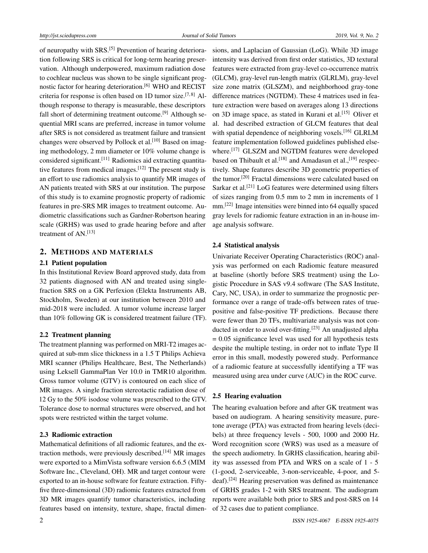of neuropathy with SRS.[\[5\]](#page-4-4) Prevention of hearing deterioration following SRS is critical for long-term hearing preservation. Although underpowered, maximum radiation dose to cochlear nucleus was shown to be single significant prog-nostic factor for hearing deterioration.<sup>[\[6\]](#page-4-5)</sup> WHO and RECIST criteria for response is often based on 1D tumor size.<sup>[\[7,](#page-4-6)[8\]](#page-4-7)</sup> Although response to therapy is measurable, these descriptors fall short of determining treatment outcome.<sup>[\[9\]](#page-4-8)</sup> Although sequential MRI scans are preferred, increase in tumor volume after SRS is not considered as treatment failure and transient changes were observed by Pollock et al.<sup>[\[10\]](#page-4-9)</sup> Based on imaging methodology, 2 mm diameter or 10% volume change is considered significant.[\[11\]](#page-4-10) Radiomics aid extracting quantitative features from medical images.[\[12\]](#page-4-11) The present study is an effort to use radiomics analysis to quantify MR images of AN patients treated with SRS at our institution. The purpose of this study is to examine prognostic property of radiomic features in pre-SRS MR images to treatment outcome. Audiometric classifications such as Gardner-Robertson hearing scale (GRHS) was used to grade hearing before and after treatment of AN.[\[13\]](#page-4-12)

#### 2. METHODS AND MATERIALS

#### 2.1 Patient population

In this Institutional Review Board approved study, data from 32 patients diagnosed with AN and treated using singlefraction SRS on a GK Perfexion (Elekta Instruments AB, Stockholm, Sweden) at our institution between 2010 and mid-2018 were included. A tumor volume increase larger than 10% following GK is considered treatment failure (TF).

#### 2.2 Treatment planning

The treatment planning was performed on MRI-T2 images acquired at sub-mm slice thickness in a 1.5 T Philips Achieva MRI scanner (Philips Healthcare, Best, The Netherlands) using Leksell GammaPlan Ver 10.0 in TMR10 algorithm. Gross tumor volume (GTV) is contoured on each slice of MR images. A single fraction stereotactic radiation dose of 12 Gy to the 50% isodose volume was prescribed to the GTV. Tolerance dose to normal structures were observed, and hot spots were restricted within the target volume.

#### 2.3 Radiomic extraction

Mathematical definitions of all radiomic features, and the extraction methods, were previously described.[\[14\]](#page-4-13) MR images were exported to a MimVista software version 6.6.5 (MIM Software Inc., Cleveland, OH). MR and target contour were exported to an in-house software for feature extraction. Fiftyfive three-dimensional (3D) radiomic features extracted from 3D MR images quantify tumor characteristics, including features based on intensity, texture, shape, fractal dimensions, and Laplacian of Gaussian (LoG). While 3D image intensity was derived from first order statistics, 3D textural features were extracted from gray-level co-occurrence matrix (GLCM), gray-level run-length matrix (GLRLM), gray-level size zone matrix (GLSZM), and neighborhood gray-tone difference matrices (NGTDM). These 4 matrices used in feature extraction were based on averages along 13 directions on 3D image space, as stated in Kurani et al.<sup>[\[15\]](#page-4-14)</sup> Oliver et al. had described extraction of GLCM features that deal with spatial dependence of neighboring voxels.<sup>[\[16\]](#page-4-15)</sup> GLRLM feature implementation followed guidelines published else-where.<sup>[\[17\]](#page-4-16)</sup> GLSZM and NGTDM features were developed based on Thibault et al.<sup>[\[18\]](#page-4-17)</sup> and Amadasun et al.,<sup>[\[19\]](#page-4-18)</sup> respectively. Shape features describe 3D geometric properties of the tumor.[\[20\]](#page-4-19) Fractal dimensions were calculated based on Sarkar et al.<sup>[\[21\]](#page-4-20)</sup> LoG features were determined using filters of sizes ranging from 0.5 mm to 2 mm in increments of 1 mm.<sup>[\[22\]](#page-4-21)</sup> Image intensities were binned into 64 equally spaced gray levels for radiomic feature extraction in an in-house image analysis software.

#### 2.4 Statistical analysis

Univariate Receiver Operating Characteristics (ROC) analysis was performed on each Radiomic feature measured at baseline (shortly before SRS treatment) using the Logistic Procedure in SAS v9.4 software (The SAS Institute, Cary, NC, USA), in order to summarize the prognostic performance over a range of trade-offs between rates of truepositive and false-positive TF predictions. Because there were fewer than 20 TFs, multivariate analysis was not con-ducted in order to avoid over-fitting.<sup>[\[23\]](#page-4-22)</sup> An unadjusted alpha  $= 0.05$  significance level was used for all hypothesis tests despite the multiple testing, in order not to inflate Type II error in this small, modestly powered study. Performance of a radiomic feature at successfully identifying a TF was measured using area under curve (AUC) in the ROC curve.

#### 2.5 Hearing evaluation

The hearing evaluation before and after GK treatment was based on audiogram. A hearing sensitivity measure, puretone average (PTA) was extracted from hearing levels (decibels) at three frequency levels - 500, 1000 and 2000 Hz. Word recognition score (WRS) was used as a measure of the speech audiometry. In GRHS classification, hearing ability was assessed from PTA and WRS on a scale of 1 - 5 (1-good, 2-serviceable, 3-non-serviceable, 4-poor, and 5 deaf).[\[24\]](#page-4-23) Hearing preservation was defined as maintenance of GRHS grades 1-2 with SRS treatment. The audiogram reports were available both prior to SRS and post-SRS on 14 of 32 cases due to patient compliance.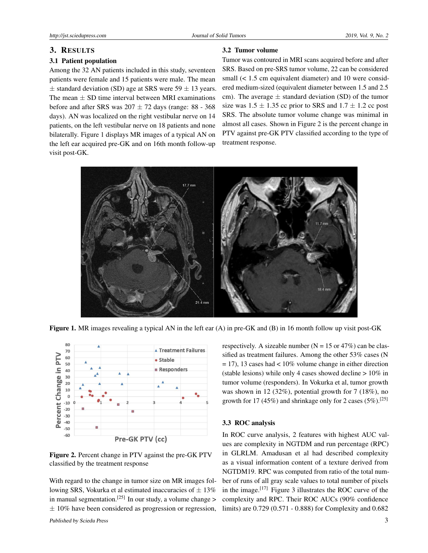#### 3. RESULTS

## 3.1 Patient population

Among the 32 AN patients included in this study, seventeen patients were female and 15 patients were male. The mean  $\pm$  standard deviation (SD) age at SRS were 59  $\pm$  13 years. The mean  $\pm$  SD time interval between MRI examinations before and after SRS was  $207 \pm 72$  days (range: 88 - 368) days). AN was localized on the right vestibular nerve on 14 patients, on the left vestibular nerve on 18 patients and none bilaterally. Figure 1 displays MR images of a typical AN on the left ear acquired pre-GK and on 16th month follow-up visit post-GK.

#### 3.2 Tumor volume

Tumor was contoured in MRI scans acquired before and after SRS. Based on pre-SRS tumor volume, 22 can be considered small (< 1.5 cm equivalent diameter) and 10 were considered medium-sized (equivalent diameter between 1.5 and 2.5 cm). The average  $\pm$  standard deviation (SD) of the tumor size was  $1.5 \pm 1.35$  cc prior to SRS and  $1.7 \pm 1.2$  cc post SRS. The absolute tumor volume change was minimal in almost all cases. Shown in Figure 2 is the percent change in PTV against pre-GK PTV classified according to the type of treatment response.



Figure 1. MR images revealing a typical AN in the left ear (A) in pre-GK and (B) in 16 month follow up visit post-GK



Figure 2. Percent change in PTV against the pre-GK PTV classified by the treatment response

With regard to the change in tumor size on MR images following SRS, Vokurka et al estimated inaccuracies of  $\pm$  13% in manual segmentation.<sup>[\[25\]](#page-4-24)</sup> In our study, a volume change >  $\pm$  10% have been considered as progression or regression,

respectively. A sizeable number ( $N = 15$  or 47%) can be classified as treatment failures. Among the other 53% cases (N  $= 17$ ), 13 cases had < 10% volume change in either direction (stable lesions) while only 4 cases showed decline  $> 10\%$  in tumor volume (responders). In Vokurka et al, tumor growth was shown in 12 (32%), potential growth for 7 (18%), no growth for 17 (45%) and shrinkage only for 2 cases  $(5\%)$ .<sup>[\[25\]](#page-4-24)</sup>

#### 3.3 ROC analysis

In ROC curve analysis, 2 features with highest AUC values are complexity in NGTDM and run percentage (RPC) in GLRLM. Amadusan et al had described complexity as a visual information content of a texture derived from NGTDM19. RPC was computed from ratio of the total number of runs of all gray scale values to total number of pixels in the image.[\[17\]](#page-4-16) Figure 3 illustrates the ROC curve of the complexity and RPC. Their ROC AUCs (90% confidence limits) are 0.729 (0.571 - 0.888) for Complexity and 0.682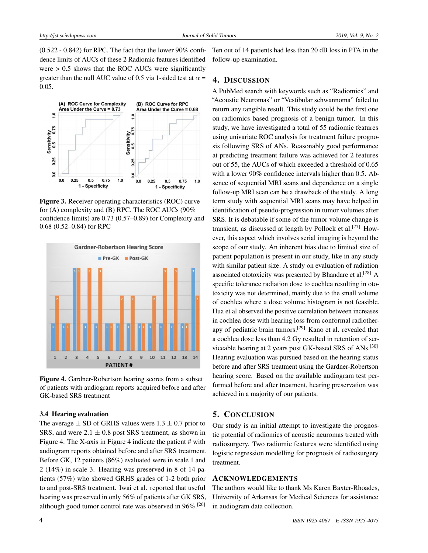(0.522 - 0.842) for RPC. The fact that the lower 90% confidence limits of AUCs of these 2 Radiomic features identified were  $> 0.5$  shows that the ROC AUCs were significantly greater than the null AUC value of 0.5 via 1-sided test at  $\alpha$  = 0.05.



Figure 3. Receiver operating characteristics (ROC) curve for (A) complexity and (B) RPC. The ROC AUCs (90% confidence limits) are 0.73 (0.57–0.89) for Complexity and 0.68 (0.52–0.84) for RPC



Figure 4. Gardner-Robertson hearing scores from a subset of patients with audiogram reports acquired before and after GK-based SRS treatment

#### 3.4 Hearing evaluation

The average  $\pm$  SD of GRHS values were 1.3  $\pm$  0.7 prior to SRS, and were  $2.1 \pm 0.8$  post SRS treatment, as shown in Figure 4. The X-axis in Figure 4 indicate the patient # with audiogram reports obtained before and after SRS treatment. Before GK, 12 patients (86%) evaluated were in scale 1 and 2 (14%) in scale 3. Hearing was preserved in 8 of 14 patients (57%) who showed GRHS grades of 1-2 both prior to and post-SRS treatment. Iwai et al. reported that useful hearing was preserved in only 56% of patients after GK SRS, although good tumor control rate was observed in 96%.[\[26\]](#page-4-25)

Ten out of 14 patients had less than 20 dB loss in PTA in the follow-up examination.

# 4. DISCUSSION

A PubMed search with keywords such as "Radiomics" and "Acoustic Neuromas" or "Vestibular schwannoma" failed to return any tangible result. This study could be the first one on radiomics based prognosis of a benign tumor. In this study, we have investigated a total of 55 radiomic features using univariate ROC analysis for treatment failure prognosis following SRS of ANs. Reasonably good performance at predicting treatment failure was achieved for 2 features out of 55, the AUCs of which exceeded a threshold of 0.65 with a lower 90% confidence intervals higher than 0.5. Absence of sequential MRI scans and dependence on a single follow-up MRI scan can be a drawback of the study. A long term study with sequential MRI scans may have helped in identification of pseudo-progression in tumor volumes after SRS. It is debatable if some of the tumor volume change is transient, as discussed at length by Pollock et al.<sup>[\[27\]](#page-4-26)</sup> However, this aspect which involves serial imaging is beyond the scope of our study. An inherent bias due to limited size of patient population is present in our study, like in any study with similar patient size. A study on evaluation of radiation associated ototoxicity was presented by Bhandare et al.<sup>[\[28\]](#page-4-27)</sup> A specific tolerance radiation dose to cochlea resulting in ototoxicity was not determined, mainly due to the small volume of cochlea where a dose volume histogram is not feasible. Hua et al observed the positive correlation between increases in cochlea dose with hearing loss from conformal radiotherapy of pediatric brain tumors.[\[29\]](#page-4-28) Kano et al. revealed that a cochlea dose less than 4.2 Gy resulted in retention of serviceable hearing at 2 years post GK-based SRS of ANs.[\[30\]](#page-4-29) Hearing evaluation was pursued based on the hearing status before and after SRS treatment using the Gardner-Robertson hearing score. Based on the available audiogram test performed before and after treatment, hearing preservation was achieved in a majority of our patients.

#### 5. CONCLUSION

Our study is an initial attempt to investigate the prognostic potential of radiomics of acoustic neuromas treated with radiosurgery. Two radiomic features were identified using logistic regression modelling for prognosis of radiosurgery treatment.

## ACKNOWLEDGEMENTS

The authors would like to thank Ms Karen Baxter-Rhoades, University of Arkansas for Medical Sciences for assistance in audiogram data collection.